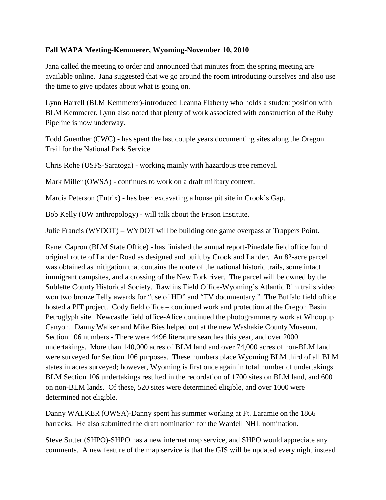## **Fall WAPA Meeting-Kemmerer, Wyoming-November 10, 2010**

Jana called the meeting to order and announced that minutes from the spring meeting are available online. Jana suggested that we go around the room introducing ourselves and also use the time to give updates about what is going on.

Lynn Harrell (BLM Kemmerer)-introduced Leanna Flaherty who holds a student position with BLM Kemmerer. Lynn also noted that plenty of work associated with construction of the Ruby Pipeline is now underway.

Todd Guenther (CWC) - has spent the last couple years documenting sites along the Oregon Trail for the National Park Service.

Chris Rohe (USFS-Saratoga) - working mainly with hazardous tree removal.

Mark Miller (OWSA) - continues to work on a draft military context.

Marcia Peterson (Entrix) - has been excavating a house pit site in Crook's Gap.

Bob Kelly (UW anthropology) - will talk about the Frison Institute.

Julie Francis (WYDOT) – WYDOT will be building one game overpass at Trappers Point.

Ranel Capron (BLM State Office) - has finished the annual report-Pinedale field office found original route of Lander Road as designed and built by Crook and Lander. An 82-acre parcel was obtained as mitigation that contains the route of the national historic trails, some intact immigrant campsites, and a crossing of the New Fork river. The parcel will be owned by the Sublette County Historical Society. Rawlins Field Office-Wyoming's Atlantic Rim trails video won two bronze Telly awards for "use of HD" and "TV documentary." The Buffalo field office hosted a PIT project. Cody field office – continued work and protection at the Oregon Basin Petroglyph site. Newcastle field office-Alice continued the photogrammetry work at Whoopup Canyon. Danny Walker and Mike Bies helped out at the new Washakie County Museum. Section 106 numbers - There were 4496 literature searches this year, and over 2000 undertakings. More than 140,000 acres of BLM land and over 74,000 acres of non-BLM land were surveyed for Section 106 purposes. These numbers place Wyoming BLM third of all BLM states in acres surveyed; however, Wyoming is first once again in total number of undertakings. BLM Section 106 undertakings resulted in the recordation of 1700 sites on BLM land, and 600 on non-BLM lands. Of these, 520 sites were determined eligible, and over 1000 were determined not eligible.

Danny WALKER (OWSA)-Danny spent his summer working at Ft. Laramie on the 1866 barracks. He also submitted the draft nomination for the Wardell NHL nomination.

Steve Sutter (SHPO)-SHPO has a new internet map service, and SHPO would appreciate any comments. A new feature of the map service is that the GIS will be updated every night instead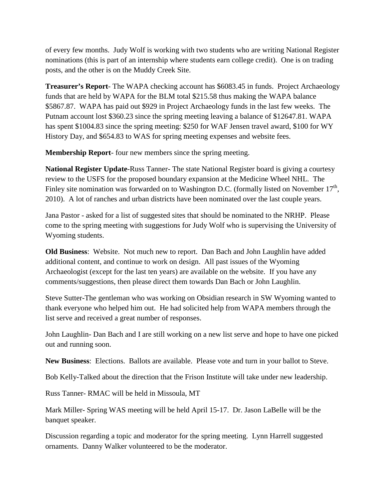of every few months. Judy Wolf is working with two students who are writing National Register nominations (this is part of an internship where students earn college credit). One is on trading posts, and the other is on the Muddy Creek Site.

**Treasurer's Report**- The WAPA checking account has \$6083.45 in funds. Project Archaeology funds that are held by WAPA for the BLM total \$215.58 thus making the WAPA balance \$5867.87. WAPA has paid out \$929 in Project Archaeology funds in the last few weeks. The Putnam account lost \$360.23 since the spring meeting leaving a balance of \$12647.81. WAPA has spent \$1004.83 since the spring meeting: \$250 for WAF Jensen travel award, \$100 for WY History Day, and \$654.83 to WAS for spring meeting expenses and website fees.

**Membership Report**- four new members since the spring meeting.

**National Register Update**-Russ Tanner- The state National Register board is giving a courtesy review to the USFS for the proposed boundary expansion at the Medicine Wheel NHL. The Finley site nomination was forwarded on to Washington D.C. (formally listed on November  $17<sup>th</sup>$ , 2010). A lot of ranches and urban districts have been nominated over the last couple years.

Jana Pastor - asked for a list of suggested sites that should be nominated to the NRHP. Please come to the spring meeting with suggestions for Judy Wolf who is supervising the University of Wyoming students.

**Old Business**: Website. Not much new to report. Dan Bach and John Laughlin have added additional content, and continue to work on design. All past issues of the Wyoming Archaeologist (except for the last ten years) are available on the website. If you have any comments/suggestions, then please direct them towards Dan Bach or John Laughlin.

Steve Sutter-The gentleman who was working on Obsidian research in SW Wyoming wanted to thank everyone who helped him out. He had solicited help from WAPA members through the list serve and received a great number of responses.

John Laughlin- Dan Bach and I are still working on a new list serve and hope to have one picked out and running soon.

**New Business**: Elections. Ballots are available. Please vote and turn in your ballot to Steve.

Bob Kelly-Talked about the direction that the Frison Institute will take under new leadership.

Russ Tanner- RMAC will be held in Missoula, MT

Mark Miller- Spring WAS meeting will be held April 15-17. Dr. Jason LaBelle will be the banquet speaker.

Discussion regarding a topic and moderator for the spring meeting. Lynn Harrell suggested ornaments. Danny Walker volunteered to be the moderator.